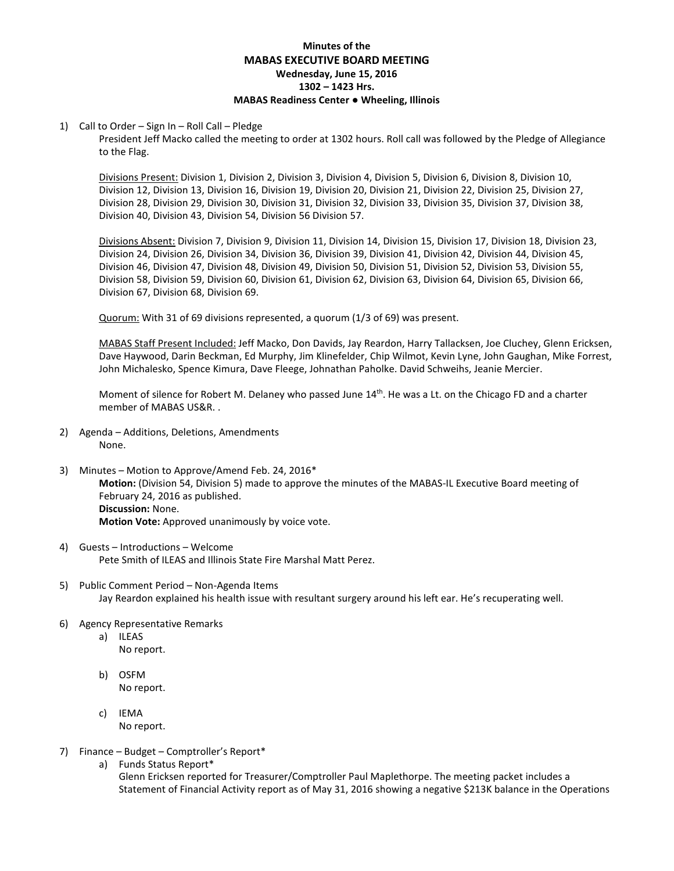# **Minutes of the MABAS EXECUTIVE BOARD MEETING Wednesday, June 15, 2016 1302 – 1423 Hrs. MABAS Readiness Center ● Wheeling, Illinois**

#### 1) Call to Order – Sign In – Roll Call – Pledge

President Jeff Macko called the meeting to order at 1302 hours. Roll call was followed by the Pledge of Allegiance to the Flag.

Divisions Present: Division 1, Division 2, Division 3, Division 4, Division 5, Division 6, Division 8, Division 10, Division 12, Division 13, Division 16, Division 19, Division 20, Division 21, Division 22, Division 25, Division 27, Division 28, Division 29, Division 30, Division 31, Division 32, Division 33, Division 35, Division 37, Division 38, Division 40, Division 43, Division 54, Division 56 Division 57.

Divisions Absent: Division 7, Division 9, Division 11, Division 14, Division 15, Division 17, Division 18, Division 23, Division 24, Division 26, Division 34, Division 36, Division 39, Division 41, Division 42, Division 44, Division 45, Division 46, Division 47, Division 48, Division 49, Division 50, Division 51, Division 52, Division 53, Division 55, Division 58, Division 59, Division 60, Division 61, Division 62, Division 63, Division 64, Division 65, Division 66, Division 67, Division 68, Division 69.

Quorum: With 31 of 69 divisions represented, a quorum (1/3 of 69) was present.

MABAS Staff Present Included: Jeff Macko, Don Davids, Jay Reardon, Harry Tallacksen, Joe Cluchey, Glenn Ericksen, Dave Haywood, Darin Beckman, Ed Murphy, Jim Klinefelder, Chip Wilmot, Kevin Lyne, John Gaughan, Mike Forrest, John Michalesko, Spence Kimura, Dave Fleege, Johnathan Paholke. David Schweihs, Jeanie Mercier.

Moment of silence for Robert M. Delaney who passed June 14<sup>th</sup>. He was a Lt. on the Chicago FD and a charter member of MABAS US&R. .

- 2) Agenda Additions, Deletions, Amendments None.
- 3) Minutes Motion to Approve/Amend Feb. 24, 2016\* **Motion:** (Division 54, Division 5) made to approve the minutes of the MABAS-IL Executive Board meeting of February 24, 2016 as published. **Discussion:** None. **Motion Vote:** Approved unanimously by voice vote.
- 4) Guests Introductions Welcome Pete Smith of ILEAS and Illinois State Fire Marshal Matt Perez.
- 5) Public Comment Period Non-Agenda Items Jay Reardon explained his health issue with resultant surgery around his left ear. He's recuperating well.
- 6) Agency Representative Remarks
	- a) ILEAS
		- No report.
	- b) OSFM No report.
	- c) IEMA No report.
- 7) Finance Budget Comptroller's Report\*
	- a) Funds Status Report\*

Glenn Ericksen reported for Treasurer/Comptroller Paul Maplethorpe. The meeting packet includes a Statement of Financial Activity report as of May 31, 2016 showing a negative \$213K balance in the Operations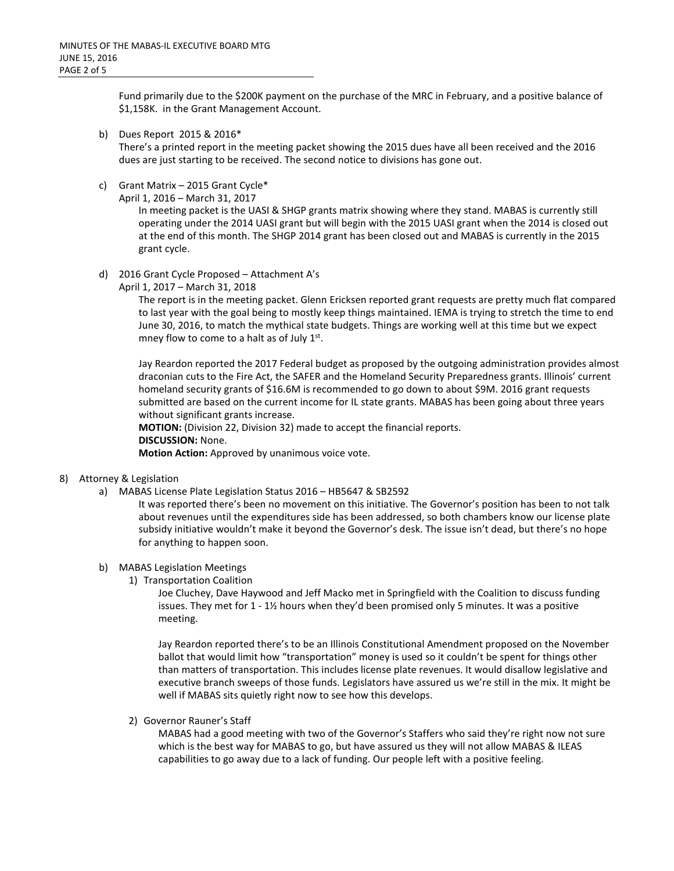Fund primarily due to the \$200K payment on the purchase of the MRC in February, and a positive balance of \$1,158K. in the Grant Management Account.

b) Dues Report 2015 & 2016\*

There's a printed report in the meeting packet showing the 2015 dues have all been received and the 2016 dues are just starting to be received. The second notice to divisions has gone out.

- c) Grant Matrix 2015 Grant Cycle\*
	- April 1, 2016 March 31, 2017

In meeting packet is the UASI & SHGP grants matrix showing where they stand. MABAS is currently still operating under the 2014 UASI grant but will begin with the 2015 UASI grant when the 2014 is closed out at the end of this month. The SHGP 2014 grant has been closed out and MABAS is currently in the 2015 grant cycle.

- d) 2016 Grant Cycle Proposed Attachment A's
	- April 1, 2017 March 31, 2018

The report is in the meeting packet. Glenn Ericksen reported grant requests are pretty much flat compared to last year with the goal being to mostly keep things maintained. IEMA is trying to stretch the time to end June 30, 2016, to match the mythical state budgets. Things are working well at this time but we expect mney flow to come to a halt as of July  $1<sup>st</sup>$ .

Jay Reardon reported the 2017 Federal budget as proposed by the outgoing administration provides almost draconian cuts to the Fire Act, the SAFER and the Homeland Security Preparedness grants. Illinois' current homeland security grants of \$16.6M is recommended to go down to about \$9M. 2016 grant requests submitted are based on the current income for IL state grants. MABAS has been going about three years without significant grants increase.

**MOTION:** (Division 22, Division 32) made to accept the financial reports. **DISCUSSION:** None.

**Motion Action:** Approved by unanimous voice vote.

- 8) Attorney & Legislation
	- a) MABAS License Plate Legislation Status 2016 HB5647 & SB2592

It was reported there's been no movement on this initiative. The Governor's position has been to not talk about revenues until the expenditures side has been addressed, so both chambers know our license plate subsidy initiative wouldn't make it beyond the Governor's desk. The issue isn't dead, but there's no hope for anything to happen soon.

#### b) MABAS Legislation Meetings

1) Transportation Coalition

Joe Cluchey, Dave Haywood and Jeff Macko met in Springfield with the Coalition to discuss funding issues. They met for  $1 - 1\frac{1}{2}$  hours when they'd been promised only 5 minutes. It was a positive meeting.

Jay Reardon reported there's to be an Illinois Constitutional Amendment proposed on the November ballot that would limit how "transportation" money is used so it couldn't be spent for things other than matters of transportation. This includes license plate revenues. It would disallow legislative and executive branch sweeps of those funds. Legislators have assured us we're still in the mix. It might be well if MABAS sits quietly right now to see how this develops.

2) Governor Rauner's Staff

MABAS had a good meeting with two of the Governor's Staffers who said they're right now not sure which is the best way for MABAS to go, but have assured us they will not allow MABAS & ILEAS capabilities to go away due to a lack of funding. Our people left with a positive feeling.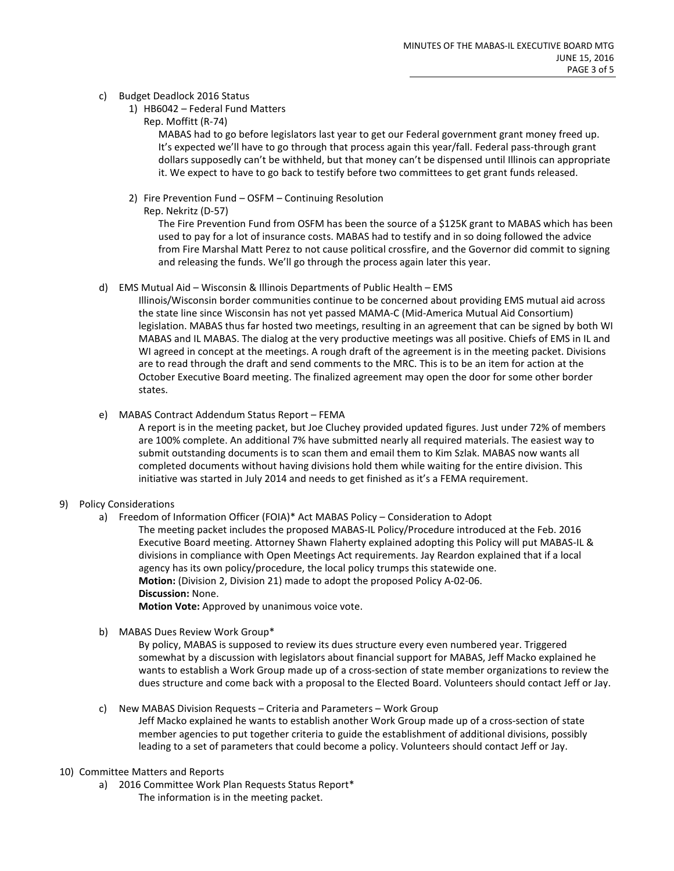## c) Budget Deadlock 2016 Status

- 1) HB6042 Federal Fund Matters
	- Rep. Moffitt (R-74)

MABAS had to go before legislators last year to get our Federal government grant money freed up. It's expected we'll have to go through that process again this year/fall. Federal pass-through grant dollars supposedly can't be withheld, but that money can't be dispensed until Illinois can appropriate it. We expect to have to go back to testify before two committees to get grant funds released.

- 2) Fire Prevention Fund OSFM Continuing Resolution
	- Rep. Nekritz (D-57)

The Fire Prevention Fund from OSFM has been the source of a \$125K grant to MABAS which has been used to pay for a lot of insurance costs. MABAS had to testify and in so doing followed the advice from Fire Marshal Matt Perez to not cause political crossfire, and the Governor did commit to signing and releasing the funds. We'll go through the process again later this year.

d) EMS Mutual Aid – Wisconsin & Illinois Departments of Public Health – EMS

Illinois/Wisconsin border communities continue to be concerned about providing EMS mutual aid across the state line since Wisconsin has not yet passed MAMA-C (Mid-America Mutual Aid Consortium) legislation. MABAS thus far hosted two meetings, resulting in an agreement that can be signed by both WI MABAS and IL MABAS. The dialog at the very productive meetings was all positive. Chiefs of EMS in IL and WI agreed in concept at the meetings. A rough draft of the agreement is in the meeting packet. Divisions are to read through the draft and send comments to the MRC. This is to be an item for action at the October Executive Board meeting. The finalized agreement may open the door for some other border states.

e) MABAS Contract Addendum Status Report – FEMA

A report is in the meeting packet, but Joe Cluchey provided updated figures. Just under 72% of members are 100% complete. An additional 7% have submitted nearly all required materials. The easiest way to submit outstanding documents is to scan them and email them to Kim Szlak. MABAS now wants all completed documents without having divisions hold them while waiting for the entire division. This initiative was started in July 2014 and needs to get finished as it's a FEMA requirement.

# 9) Policy Considerations

a) Freedom of Information Officer (FOIA)\* Act MABAS Policy – Consideration to Adopt The meeting packet includes the proposed MABAS-IL Policy/Procedure introduced at the Feb. 2016 Executive Board meeting. Attorney Shawn Flaherty explained adopting this Policy will put MABAS-IL & divisions in compliance with Open Meetings Act requirements. Jay Reardon explained that if a local agency has its own policy/procedure, the local policy trumps this statewide one. **Motion:** (Division 2, Division 21) made to adopt the proposed Policy A-02-06. **Discussion:** None.

**Motion Vote:** Approved by unanimous voice vote.

b) MABAS Dues Review Work Group\*

By policy, MABAS is supposed to review its dues structure every even numbered year. Triggered somewhat by a discussion with legislators about financial support for MABAS, Jeff Macko explained he wants to establish a Work Group made up of a cross-section of state member organizations to review the dues structure and come back with a proposal to the Elected Board. Volunteers should contact Jeff or Jay.

c) New MABAS Division Requests – Criteria and Parameters – Work Group

Jeff Macko explained he wants to establish another Work Group made up of a cross-section of state member agencies to put together criteria to guide the establishment of additional divisions, possibly leading to a set of parameters that could become a policy. Volunteers should contact Jeff or Jay.

- 10) Committee Matters and Reports
	- a) 2016 Committee Work Plan Requests Status Report\* The information is in the meeting packet.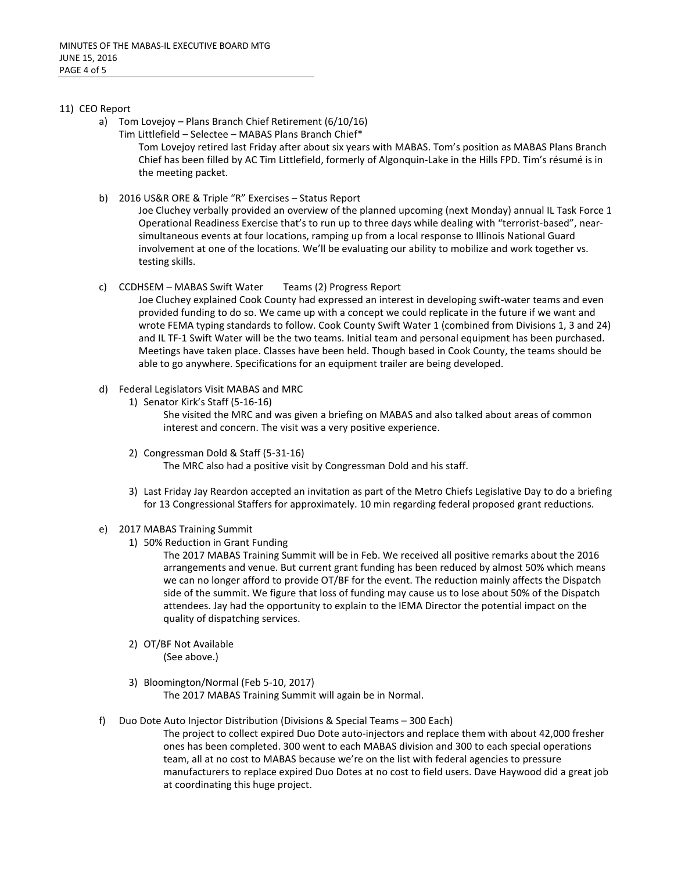## 11) CEO Report

- a) Tom Lovejoy Plans Branch Chief Retirement (6/10/16)
	- Tim Littlefield Selectee MABAS Plans Branch Chief\*

Tom Lovejoy retired last Friday after about six years with MABAS. Tom's position as MABAS Plans Branch Chief has been filled by AC Tim Littlefield, formerly of Algonquin-Lake in the Hills FPD. Tim's résumé is in the meeting packet.

b) 2016 US&R ORE & Triple "R" Exercises – Status Report

Joe Cluchey verbally provided an overview of the planned upcoming (next Monday) annual IL Task Force 1 Operational Readiness Exercise that's to run up to three days while dealing with "terrorist-based", nearsimultaneous events at four locations, ramping up from a local response to Illinois National Guard involvement at one of the locations. We'll be evaluating our ability to mobilize and work together vs. testing skills.

c) CCDHSEM – MABAS Swift Water Teams (2) Progress Report

Joe Cluchey explained Cook County had expressed an interest in developing swift-water teams and even provided funding to do so. We came up with a concept we could replicate in the future if we want and wrote FEMA typing standards to follow. Cook County Swift Water 1 (combined from Divisions 1, 3 and 24) and IL TF-1 Swift Water will be the two teams. Initial team and personal equipment has been purchased. Meetings have taken place. Classes have been held. Though based in Cook County, the teams should be able to go anywhere. Specifications for an equipment trailer are being developed.

- d) Federal Legislators Visit MABAS and MRC
	- 1) Senator Kirk's Staff (5-16-16)

She visited the MRC and was given a briefing on MABAS and also talked about areas of common interest and concern. The visit was a very positive experience.

- 2) Congressman Dold & Staff (5-31-16) The MRC also had a positive visit by Congressman Dold and his staff.
- 3) Last Friday Jay Reardon accepted an invitation as part of the Metro Chiefs Legislative Day to do a briefing for 13 Congressional Staffers for approximately. 10 min regarding federal proposed grant reductions.
- e) 2017 MABAS Training Summit
	- 1) 50% Reduction in Grant Funding

The 2017 MABAS Training Summit will be in Feb. We received all positive remarks about the 2016 arrangements and venue. But current grant funding has been reduced by almost 50% which means we can no longer afford to provide OT/BF for the event. The reduction mainly affects the Dispatch side of the summit. We figure that loss of funding may cause us to lose about 50% of the Dispatch attendees. Jay had the opportunity to explain to the IEMA Director the potential impact on the quality of dispatching services.

- 2) OT/BF Not Available (See above.)
- 3) Bloomington/Normal (Feb 5-10, 2017) The 2017 MABAS Training Summit will again be in Normal.
- f) Duo Dote Auto Injector Distribution (Divisions & Special Teams 300 Each)

The project to collect expired Duo Dote auto-injectors and replace them with about 42,000 fresher ones has been completed. 300 went to each MABAS division and 300 to each special operations team, all at no cost to MABAS because we're on the list with federal agencies to pressure manufacturers to replace expired Duo Dotes at no cost to field users. Dave Haywood did a great job at coordinating this huge project.